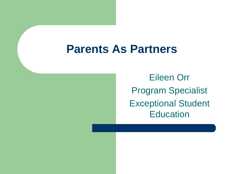Eileen Orr Program Specialist Exceptional Student **Education**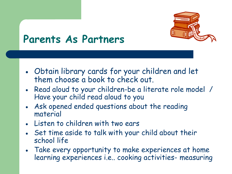

- Obtain library cards for your children and let them choose a book to check out.
- Read aloud to your children-be a literate role model / Have your child read aloud to you
- Ask opened ended questions about the reading material
- Listen to children with two ears
- Set time aside to talk with your child about their school life
- Take every opportunity to make experiences at home learning experiences i.e.. cooking activities- measuring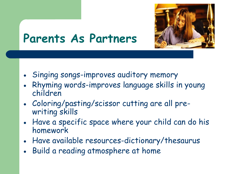

- Singing songs-improves auditory memory
- Rhyming words-improves language skills in young children
- Coloring/pasting/scissor cutting are all prewriting skills
- Have a specific space where your child can do his homework
- Have available resources-dictionary/thesaurus
- Build a reading atmosphere at home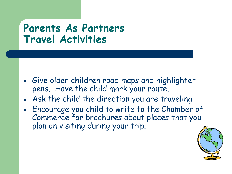#### **Parents As Partners Travel Activities**

- Give older children road maps and highlighter pens. Have the child mark your route.
- Ask the child the direction you are traveling
- Encourage you child to write to the Chamber of Commerce for brochures about places that you plan on visiting during your trip.

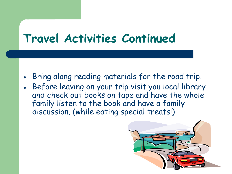## **Travel Activities Continued**

- Bring along reading materials for the road trip.
- Before leaving on your trip visit you local library and check out books on tape and have the whole family listen to the book and have a family discussion. (while eating special treats!)

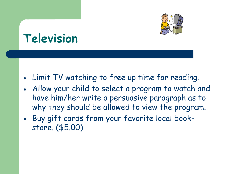

## **Television**

- Limit TV watching to free up time for reading.
- Allow your child to select a program to watch and have him/her write a persuasive paragraph as to why they should be allowed to view the program.
- Buy gift cards from your favorite local bookstore. (\$5.00)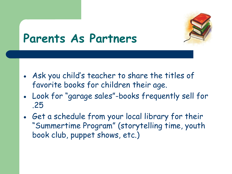

- Ask you child's teacher to share the titles of favorite books for children their age.
- Look for "garage sales"-books frequently sell for .25
- Get a schedule from your local library for their "Summertime Program" (storytelling time, youth book club, puppet shows, etc.)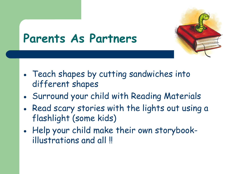

- Teach shapes by cutting sandwiches into different shapes
- Surround your child with Reading Materials
- Read scary stories with the lights out using a flashlight (some kids)
- Help your child make their own storybookillustrations and all !!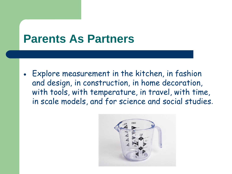Explore measurement in the kitchen, in fashion and design, in construction, in home decoration, with tools, with temperature, in travel, with time, in scale models, and for science and social studies.

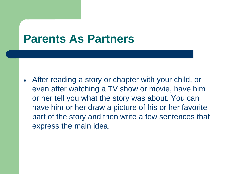After reading a story or chapter with your child, or even after watching a TV show or movie, have him or her tell you what the story was about. You can have him or her draw a picture of his or her favorite part of the story and then write a few sentences that express the main idea.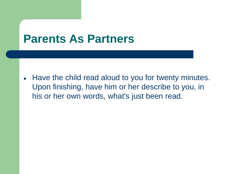Have the child read aloud to you for twenty minutes.  $\bullet$ Upon finishing, have him or her describe to you, in his or her own words, what's just been read.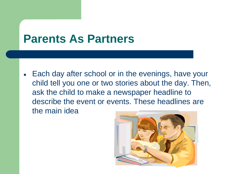• Each day after school or in the evenings, have your child tell you one or two stories about the day. Then, ask the child to make a newspaper headline to describe the event or events. These headlines are the main idea

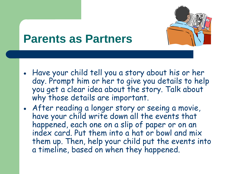

- Have your child tell you a story about his or her day. Prompt him or her to give you details to help you get a clear idea about the story. Talk about why those details are important.
- After reading a longer story or seeing a movie, have your child write down all the events that happened, each one on a slip of paper or on an index card. Put them into a hat or bowl and mix them up. Then, help your child put the events into a timeline, based on when they happened.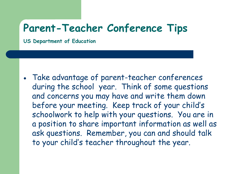#### **Parent-Teacher Conference Tips**

**US Department of Education**

Take advantage of parent-teacher conferences during the school year. Think of some questions and concerns you may have and write them down before your meeting. Keep track of your child's schoolwork to help with your questions. You are in a position to share important information as well as ask questions. Remember, you can and should talk to your child's teacher throughout the year.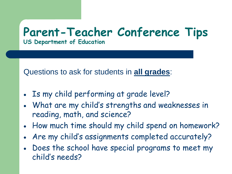#### **Parent-Teacher Conference Tips US Department of Education**

Questions to ask for students in **all grades**:

- Is my child performing at grade level?
- What are my child's strengths and weaknesses in reading, math, and science?
- How much time should my child spend on homework?
- Are my child's assignments completed accurately?
- Does the school have special programs to meet my child's needs?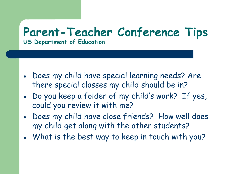#### **Parent-Teacher Conference Tips US Department of Education**

- Does my child have special learning needs? Are there special classes my child should be in?
- Do you keep a folder of my child's work? If yes, could you review it with me?
- Does my child have close friends? How well does my child get along with the other students?
- What is the best way to keep in touch with you?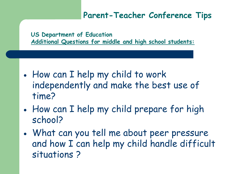#### **Parent-Teacher Conference Tips**

**US Department of Education Additional Questions for middle and high school students:**

- How can I help my child to work independently and make the best use of time?
- How can I help my child prepare for high school?
- What can you tell me about peer pressure and how I can help my child handle difficult situations ?